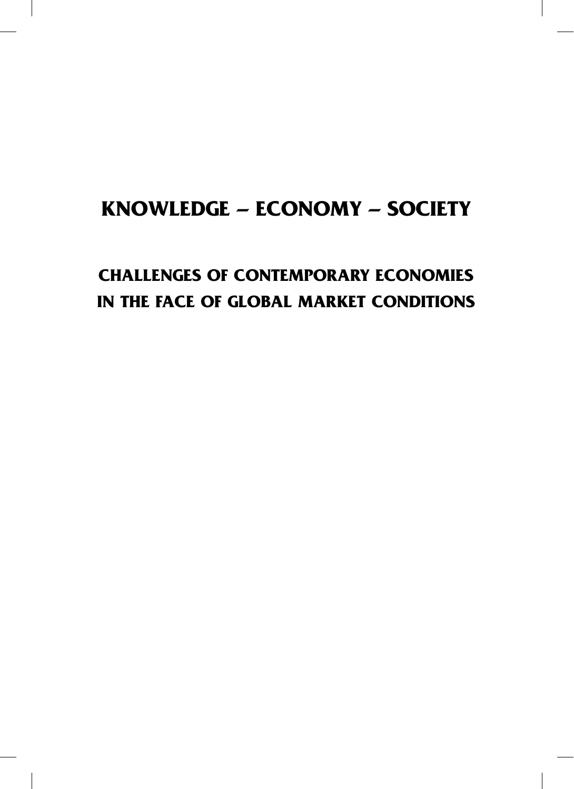### **KNOWLEDGE – ECONOMY – SOCIETY**

### **CHALLENGES OF CONTEMPORARY ECONOMIES IN THE FACE OF GLOBAL MARKET CONDITIONS**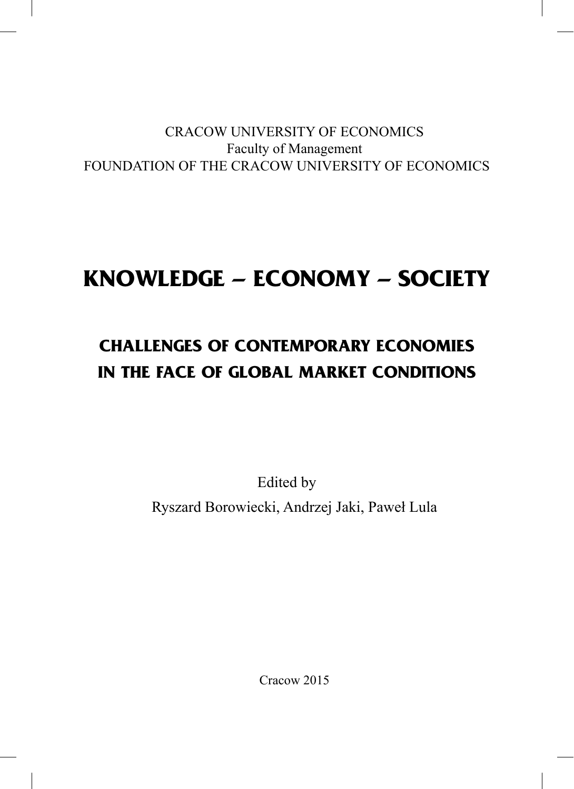### CRACOW UNIVERSITY OF ECONOMICS Faculty of Management FOUNDATION OF THE CRACOW UNIVERSITY OF ECONOMICS

# **KNOWLEDGE – ECONOMY – SOCIETY**

## **CHALLENGES OF CONTEMPORARY ECONOMIES IN THE FACE OF GLOBAL MARKET CONDITIONS**

Edited by Ryszard Borowiecki, Andrzej Jaki, Paweł Lula

Cracow 2015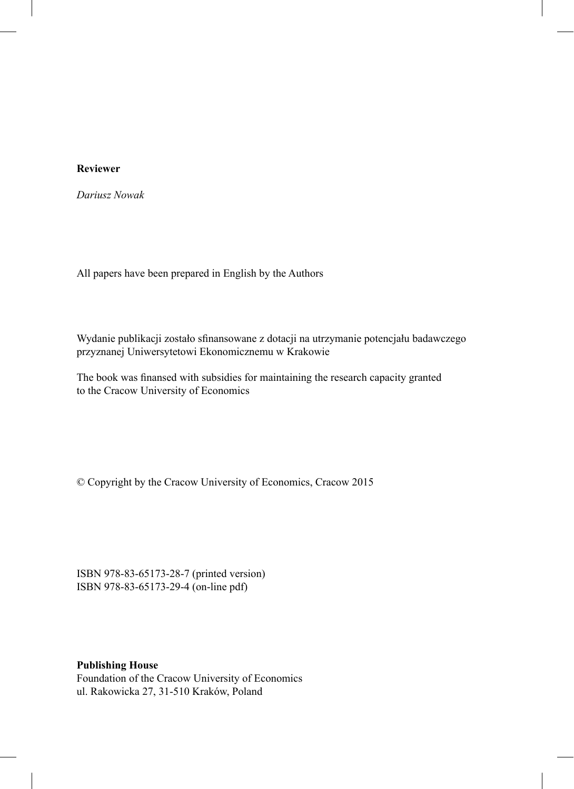#### **Reviewer**

*Dariusz Nowak*

All papers have been prepared in English by the Authors

Wydanie publikacji zostało sfinansowane z dotacji na utrzymanie potencjału badawczego przyznanej Uniwersytetowi Ekonomicznemu w Krakowie

The book was finansed with subsidies for maintaining the research capacity granted to the Cracow University of Economics

© Copyright by the Cracow University of Economics, Cracow 2015

ISBN 978-83-65173-28-7 (printed version) ISBN 978-83-65173-29-4 (on-line pdf)

**Publishing House**

Foundation of the Cracow University of Economics ul. Rakowicka 27, 31-510 Kraków, Poland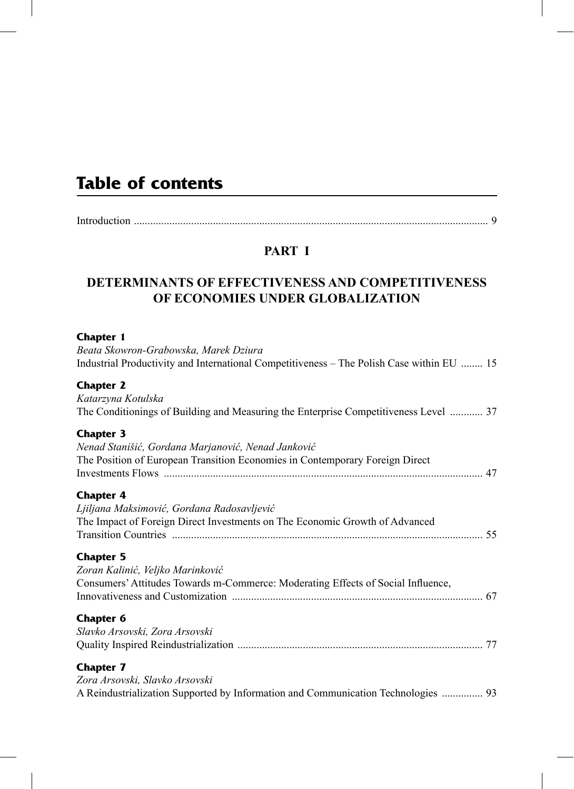### **Table of contents**

|--|--|

#### **PART I**

#### **DETERMINANTS OF EFFECTIVENESS AND COMPETITIVENESS OF ECONOMIES UNDER GLOBALIZATION**

#### **Chapter 1**

| Beata Skowron-Grabowska, Marek Dziura<br>Industrial Productivity and International Competitiveness – The Polish Case within EU  15                     |  |
|--------------------------------------------------------------------------------------------------------------------------------------------------------|--|
| <b>Chapter 2</b><br>Katarzyna Kotulska<br>The Conditionings of Building and Measuring the Enterprise Competitiveness Level  37                         |  |
| <b>Chapter 3</b><br>Nenad Stanišić, Gordana Marjanović, Nenad Janković<br>The Position of European Transition Economies in Contemporary Foreign Direct |  |
| <b>Chapter 4</b><br>Ljiljana Maksimović, Gordana Radosavljević<br>The Impact of Foreign Direct Investments on The Economic Growth of Advanced          |  |
| <b>Chapter 5</b><br>Zoran Kalinić, Veljko Marinković<br>Consumers' Attitudes Towards m-Commerce: Moderating Effects of Social Influence,               |  |
| <b>Chapter 6</b><br>Slavko Arsovski, Zora Arsovski                                                                                                     |  |
| <b>Chapter 7</b><br>Zora Arsovski, Slavko Arsovski<br>A Reindustrialization Supported by Information and Communication Technologies  93                |  |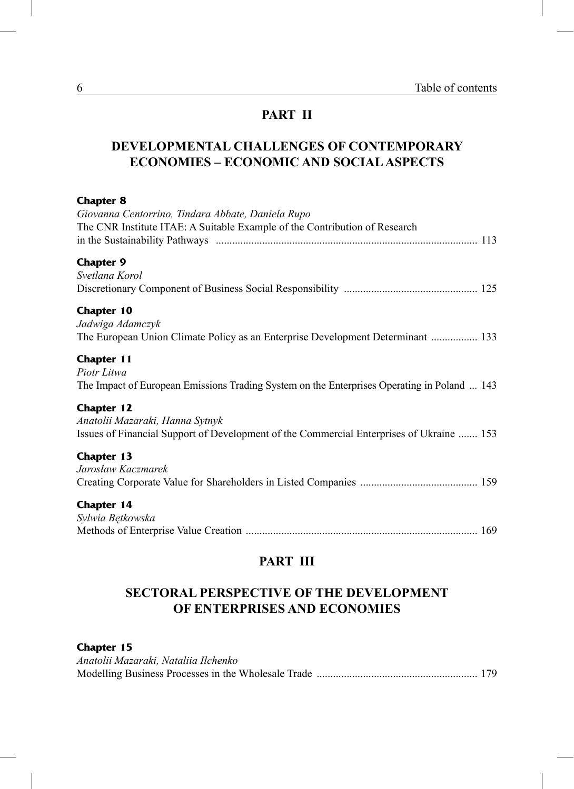#### **PART II**

#### **DEVELOPMENTAL CHALLENGES OF CONTEMPORARY ECONOMIES – ECONOMIC AND SOCIAL ASPECTS**

| <b>Chapter 8</b><br>Giovanna Centorrino, Tindara Abbate, Daniela Rupo<br>The CNR Institute ITAE: A Suitable Example of the Contribution of Research |
|-----------------------------------------------------------------------------------------------------------------------------------------------------|
| <b>Chapter 9</b>                                                                                                                                    |
| Svetlana Korol                                                                                                                                      |
|                                                                                                                                                     |
| <b>Chapter 10</b>                                                                                                                                   |
| Jadwiga Adamczyk                                                                                                                                    |
| The European Union Climate Policy as an Enterprise Development Determinant  133                                                                     |
| <b>Chapter 11</b>                                                                                                                                   |
| Piotr Litwa                                                                                                                                         |
| The Impact of European Emissions Trading System on the Enterprises Operating in Poland  143                                                         |
| <b>Chapter 12</b>                                                                                                                                   |
| Anatolii Mazaraki, Hanna Sytnyk                                                                                                                     |
| Issues of Financial Support of Development of the Commercial Enterprises of Ukraine  153                                                            |
| <b>Chapter 13</b>                                                                                                                                   |
| Jarosław Kaczmarek                                                                                                                                  |
|                                                                                                                                                     |
| Chapter 14                                                                                                                                          |
| Sylwia Bętkowska                                                                                                                                    |
|                                                                                                                                                     |

#### **PART III**

#### **SECTORAL PERSPECTIVE OF THE DEVELOPMENT OF ENTERPRISES AND ECONOMIES**

#### **Chapter 15**

| Anatolii Mazaraki, Nataliia Ilchenko |  |
|--------------------------------------|--|
|                                      |  |